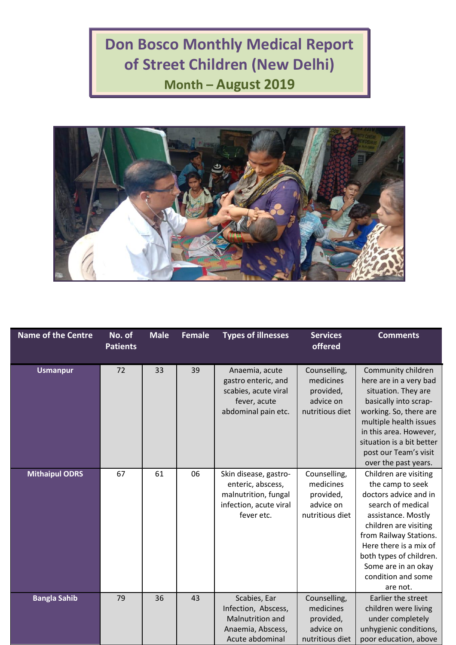## **Don Bosco Monthly Medical Report of Street Children (New Delhi) Month – August 2019**



| <b>Name of the Centre</b> | No. of<br><b>Patients</b> | <b>Male</b> | <b>Female</b> | <b>Types of illnesses</b>                                                                                  | <b>Services</b><br>offered                                             | <b>Comments</b>                                                                                                                                                                                                                                                                |
|---------------------------|---------------------------|-------------|---------------|------------------------------------------------------------------------------------------------------------|------------------------------------------------------------------------|--------------------------------------------------------------------------------------------------------------------------------------------------------------------------------------------------------------------------------------------------------------------------------|
| <b>Usmanpur</b>           | 72                        | 33          | 39            | Anaemia, acute<br>gastro enteric, and<br>scabies, acute viral<br>fever, acute<br>abdominal pain etc.       | Counselling,<br>medicines<br>provided,<br>advice on<br>nutritious diet | Community children<br>here are in a very bad<br>situation. They are<br>basically into scrap-<br>working. So, there are<br>multiple health issues<br>in this area. However,<br>situation is a bit better<br>post our Team's visit<br>over the past years.                       |
| <b>Mithaipul ODRS</b>     | 67                        | 61          | 06            | Skin disease, gastro-<br>enteric, abscess,<br>malnutrition, fungal<br>infection, acute viral<br>fever etc. | Counselling,<br>medicines<br>provided,<br>advice on<br>nutritious diet | Children are visiting<br>the camp to seek<br>doctors advice and in<br>search of medical<br>assistance. Mostly<br>children are visiting<br>from Railway Stations.<br>Here there is a mix of<br>both types of children.<br>Some are in an okay<br>condition and some<br>are not. |
| <b>Bangla Sahib</b>       | 79                        | 36          | 43            | Scabies, Ear<br>Infection, Abscess,<br>Malnutrition and<br>Anaemia, Abscess,<br>Acute abdominal            | Counselling,<br>medicines<br>provided,<br>advice on<br>nutritious diet | Earlier the street<br>children were living<br>under completely<br>unhygienic conditions,<br>poor education, above                                                                                                                                                              |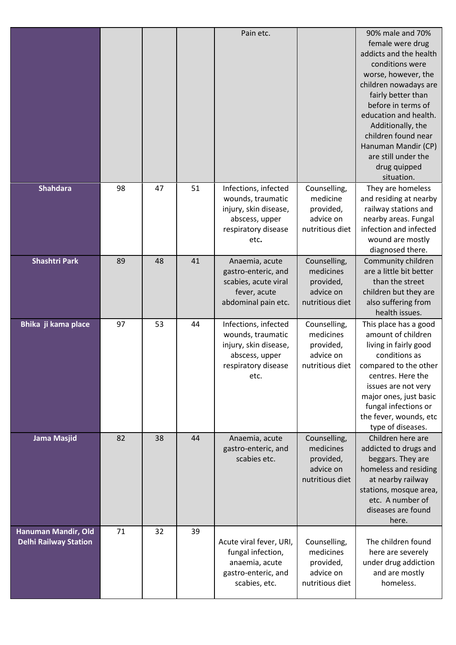|                                                     |    |    |    | Pain etc.                                                                                                           |                                                                        | 90% male and 70%<br>female were drug<br>addicts and the health<br>conditions were<br>worse, however, the<br>children nowadays are<br>fairly better than<br>before in terms of<br>education and health.<br>Additionally, the<br>children found near<br>Hanuman Mandir (CP)<br>are still under the<br>drug quipped<br>situation. |
|-----------------------------------------------------|----|----|----|---------------------------------------------------------------------------------------------------------------------|------------------------------------------------------------------------|--------------------------------------------------------------------------------------------------------------------------------------------------------------------------------------------------------------------------------------------------------------------------------------------------------------------------------|
| <b>Shahdara</b>                                     | 98 | 47 | 51 | Infections, infected<br>wounds, traumatic<br>injury, skin disease,<br>abscess, upper<br>respiratory disease<br>etc. | Counselling,<br>medicine<br>provided,<br>advice on<br>nutritious diet  | They are homeless<br>and residing at nearby<br>railway stations and<br>nearby areas. Fungal<br>infection and infected<br>wound are mostly<br>diagnosed there.                                                                                                                                                                  |
| <b>Shashtri Park</b>                                | 89 | 48 | 41 | Anaemia, acute<br>gastro-enteric, and<br>scabies, acute viral<br>fever, acute<br>abdominal pain etc.                | Counselling,<br>medicines<br>provided,<br>advice on<br>nutritious diet | Community children<br>are a little bit better<br>than the street<br>children but they are<br>also suffering from<br>health issues.                                                                                                                                                                                             |
| Bhika ji kama place                                 | 97 | 53 | 44 | Infections, infected<br>wounds, traumatic<br>injury, skin disease,<br>abscess, upper<br>respiratory disease<br>etc. | Counselling,<br>medicines<br>provided,<br>advice on<br>nutritious diet | This place has a good<br>amount of children<br>living in fairly good<br>conditions as<br>compared to the other<br>centres. Here the<br>issues are not very<br>major ones, just basic<br>fungal infections or<br>the fever, wounds, etc<br>type of diseases.                                                                    |
| Jama Masjid                                         | 82 | 38 | 44 | Anaemia, acute<br>gastro-enteric, and<br>scabies etc.                                                               | Counselling,<br>medicines<br>provided,<br>advice on<br>nutritious diet | Children here are<br>addicted to drugs and<br>beggars. They are<br>homeless and residing<br>at nearby railway<br>stations, mosque area,<br>etc. A number of<br>diseases are found<br>here.                                                                                                                                     |
| Hanuman Mandir, Old<br><b>Delhi Railway Station</b> | 71 | 32 | 39 | Acute viral fever, URI,<br>fungal infection,<br>anaemia, acute<br>gastro-enteric, and<br>scabies, etc.              | Counselling,<br>medicines<br>provided,<br>advice on<br>nutritious diet | The children found<br>here are severely<br>under drug addiction<br>and are mostly<br>homeless.                                                                                                                                                                                                                                 |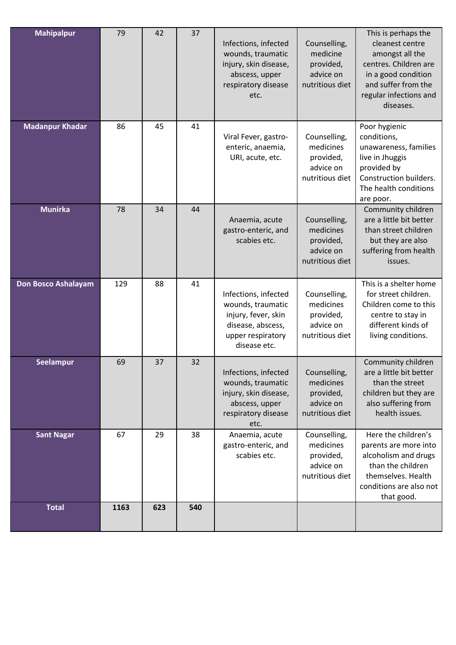| <b>Mahipalpur</b>      | 79   | 42  | 37  | Infections, infected<br>wounds, traumatic<br>injury, skin disease,<br>abscess, upper<br>respiratory disease<br>etc.        | Counselling,<br>medicine<br>provided,<br>advice on<br>nutritious diet  | This is perhaps the<br>cleanest centre<br>amongst all the<br>centres. Children are<br>in a good condition<br>and suffer from the<br>regular infections and<br>diseases. |
|------------------------|------|-----|-----|----------------------------------------------------------------------------------------------------------------------------|------------------------------------------------------------------------|-------------------------------------------------------------------------------------------------------------------------------------------------------------------------|
| <b>Madanpur Khadar</b> | 86   | 45  | 41  | Viral Fever, gastro-<br>enteric, anaemia,<br>URI, acute, etc.                                                              | Counselling,<br>medicines<br>provided,<br>advice on<br>nutritious diet | Poor hygienic<br>conditions,<br>unawareness, families<br>live in Jhuggis<br>provided by<br>Construction builders.<br>The health conditions<br>are poor.                 |
| <b>Munirka</b>         | 78   | 34  | 44  | Anaemia, acute<br>gastro-enteric, and<br>scabies etc.                                                                      | Counselling,<br>medicines<br>provided,<br>advice on<br>nutritious diet | Community children<br>are a little bit better<br>than street children<br>but they are also<br>suffering from health<br>issues.                                          |
| Don Bosco Ashalayam    | 129  | 88  | 41  | Infections, infected<br>wounds, traumatic<br>injury, fever, skin<br>disease, abscess,<br>upper respiratory<br>disease etc. | Counselling,<br>medicines<br>provided,<br>advice on<br>nutritious diet | This is a shelter home<br>for street children.<br>Children come to this<br>centre to stay in<br>different kinds of<br>living conditions.                                |
| Seelampur              | 69   | 37  | 32  | Infections, infected<br>wounds, traumatic<br>injury, skin disease,<br>abscess, upper<br>respiratory disease<br>etc.        | Counselling,<br>medicines<br>provided,<br>advice on<br>nutritious diet | Community children<br>are a little bit better<br>than the street<br>children but they are<br>also suffering from<br>health issues.                                      |
| <b>Sant Nagar</b>      | 67   | 29  | 38  | Anaemia, acute<br>gastro-enteric, and<br>scabies etc.                                                                      | Counselling,<br>medicines<br>provided,<br>advice on<br>nutritious diet | Here the children's<br>parents are more into<br>alcoholism and drugs<br>than the children<br>themselves. Health<br>conditions are also not<br>that good.                |
| <b>Total</b>           | 1163 | 623 | 540 |                                                                                                                            |                                                                        |                                                                                                                                                                         |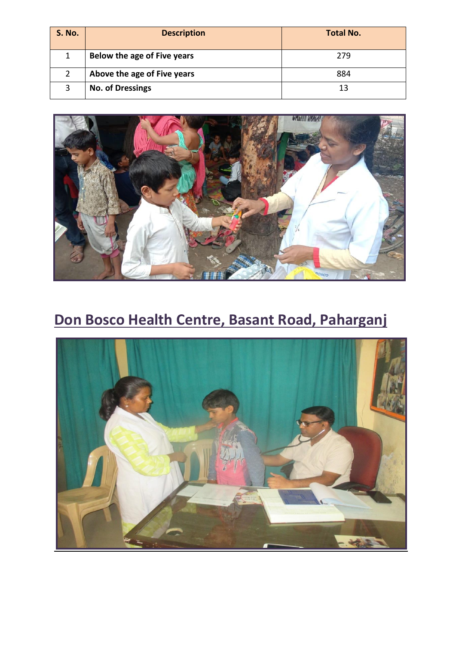| <b>S. No.</b> | <b>Description</b>          | <b>Total No.</b> |
|---------------|-----------------------------|------------------|
|               | Below the age of Five years | 279              |
|               | Above the age of Five years | 884              |
| 3             | <b>No. of Dressings</b>     | 13               |



## **Don Bosco Health Centre, Basant Road, Paharganj**

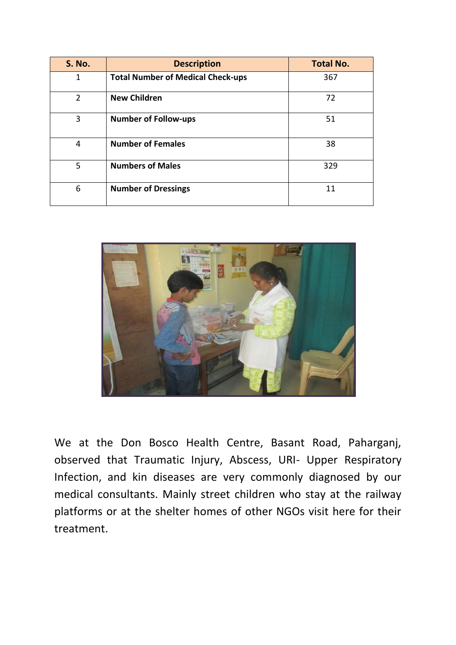| <b>S. No.</b> | <b>Description</b>                       | <b>Total No.</b> |
|---------------|------------------------------------------|------------------|
| 1             | <b>Total Number of Medical Check-ups</b> | 367              |
| 2             | <b>New Children</b>                      | 72               |
| 3             | <b>Number of Follow-ups</b>              | 51               |
| 4             | <b>Number of Females</b>                 | 38               |
| 5             | <b>Numbers of Males</b>                  | 329              |
| 6             | <b>Number of Dressings</b>               | 11               |



We at the Don Bosco Health Centre, Basant Road, Paharganj, observed that Traumatic Injury, Abscess, URI- Upper Respiratory Infection, and kin diseases are very commonly diagnosed by our medical consultants. Mainly street children who stay at the railway platforms or at the shelter homes of other NGOs visit here for their treatment.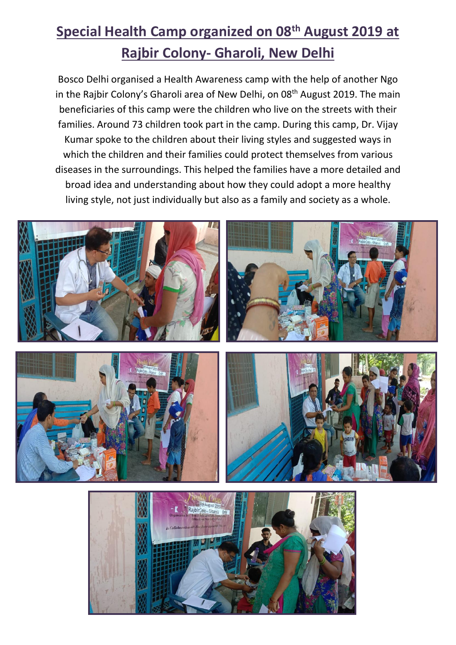## **Special Health Camp organized on 08 th August 2019 at Rajbir Colony- Gharoli, New Delhi**

Bosco Delhi organised a Health Awareness camp with the help of another Ngo in the Rajbir Colony's Gharoli area of New Delhi, on 08<sup>th</sup> August 2019. The main beneficiaries of this camp were the children who live on the streets with their families. Around 73 children took part in the camp. During this camp, Dr. Vijay Kumar spoke to the children about their living styles and suggested ways in which the children and their families could protect themselves from various diseases in the surroundings. This helped the families have a more detailed and broad idea and understanding about how they could adopt a more healthy living style, not just individually but also as a family and society as a whole.